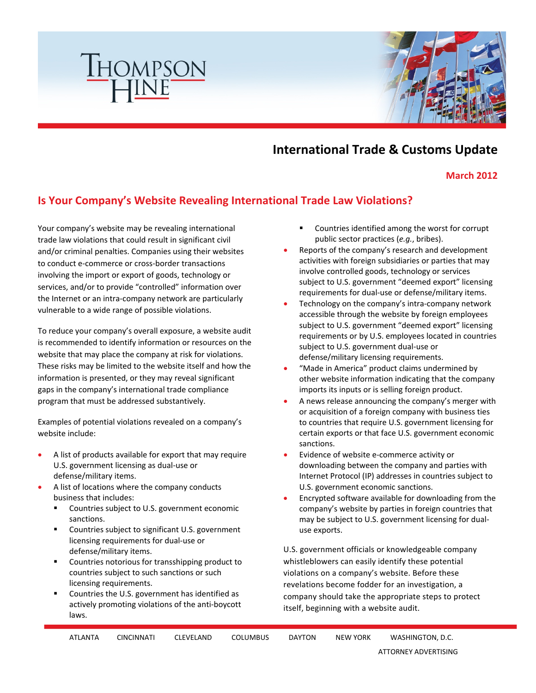

## **International Trade & Customs Update**

**March 2012**

## **Is Your Company's Website Revealing International Trade Law Violations?**

Your company's website may be revealing international trade law violations that could result in significant civil and/or criminal penalties. Companies using their websites to conduct e-commerce or cross-border transactions involving the import or export of goods, technology or services, and/or to provide "controlled" information over the Internet or an intra-company network are particularly vulnerable to a wide range of possible violations.

To reduce your company's overall exposure, a website audit is recommended to identify information or resources on the website that may place the company at risk for violations. These risks may be limited to the website itself and how the information is presented, or they may reveal significant gaps in the company's international trade compliance program that must be addressed substantively.

Examples of potential violations revealed on a company's website include:

- A list of products available for export that may require U.S. government licensing as dual-use or defense/military items.
- A list of locations where the company conducts business that includes:
	- Countries subject to U.S. government economic sanctions.
	- **EXECOUNTER** Countries subject to significant U.S. government licensing requirements for dual-use or defense/military items.
	- **EXECOUNTER COUNTER 1** Countries notorious for transshipping product to countries subject to such sanctions or such licensing requirements.
	- Countries the U.S. government has identified as actively promoting violations of the anti-boycott laws.
- Countries identified among the worst for corrupt public sector practices (*e.g.*, bribes).
- Reports of the company's research and development activities with foreign subsidiaries or parties that may involve controlled goods, technology or services subject to U.S. government "deemed export" licensing requirements for dual-use or defense/military items.
- Technology on the company's intra-company network accessible through the website by foreign employees subject to U.S. government "deemed export" licensing requirements or by U.S. employees located in countries subject to U.S. government dual-use or defense/military licensing requirements.
- "Made in America" product claims undermined by other website information indicating that the company imports its inputs or is selling foreign product.
- A news release announcing the company's merger with or acquisition of a foreign company with business ties to countries that require U.S. government licensing for certain exports or that face U.S. government economic sanctions.
- Evidence of website e-commerce activity or downloading between the company and parties with Internet Protocol (IP) addresses in countries subject to U.S. government economic sanctions.
- Encrypted software available for downloading from the company's website by parties in foreign countries that may be subject to U.S. government licensing for dualuse exports.

U.S. government officials or knowledgeable company whistleblowers can easily identify these potential violations on a company's website. Before these revelations become fodder for an investigation, a company should take the appropriate steps to protect itself, beginning with a website audit.